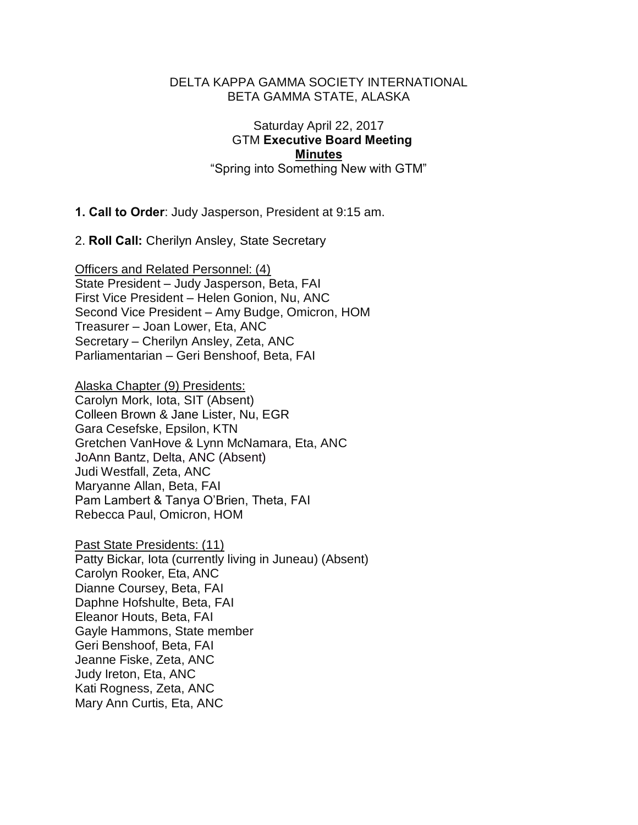#### DELTA KAPPA GAMMA SOCIETY INTERNATIONAL BETA GAMMA STATE, ALASKA

## Saturday April 22, 2017 GTM Executive Board Meeting **Minutes** "Spring into Something New with GTM"

1. Call to Order: Judy Jasperson, President at 9:15 am.

2. Roll Call: Cherilyn Ansley, State Secretary

Officers and Related Personnel: (4) State President – Judy Jasperson, Beta, FAI First Vice President – Helen Gonion, Nu, ANC Second Vice President – Amy Budge, Omicron, HOM Treasurer – Joan Lower, Eta, ANC Secretary – Cherilyn Ansley, Zeta, ANC Parliamentarian – Geri Benshoof, Beta, FAI

Alaska Chapter (9) Presidents: Carolyn Mork, Iota, SIT (Absent)

Colleen Brown & Jane Lister, Nu, EGR Gara Cesefske, Epsilon, KTN Gretchen VanHove & Lynn McNamara, Eta, ANC JoAnn Bantz, Delta, ANC (Absent) Judi Westfall, Zeta, ANC Maryanne Allan, Beta, FAI Pam Lambert & Tanya O'Brien, Theta, FAI Rebecca Paul, Omicron, HOM

Past State Presidents: (11) Patty Bickar, Iota (currently living in Juneau) (Absent) Carolyn Rooker, Eta, ANC Dianne Coursey, Beta, FAI Daphne Hofshulte, Beta, FAI Eleanor Houts, Beta, FAI Gayle Hammons, State member Geri Benshoof, Beta, FAI Jeanne Fiske, Zeta, ANC Judy Ireton, Eta, ANC Kati Rogness, Zeta, ANC Mary Ann Curtis, Eta, ANC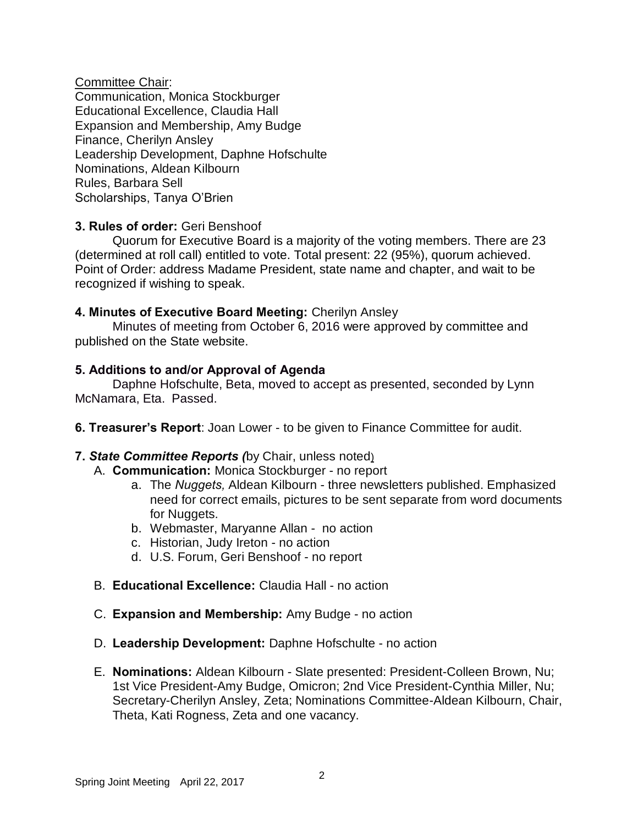Committee Chair: Communication, Monica Stockburger Educational Excellence, Claudia Hall Expansion and Membership, Amy Budge Finance, Cherilyn Ansley Leadership Development, Daphne Hofschulte Nominations, Aldean Kilbourn Rules, Barbara Sell Scholarships, Tanya O'Brien

# 3. Rules of order: Geri Benshoof

Quorum for Executive Board is a majority of the voting members. There are 23 (determined at roll call) entitled to vote. Total present: 22 (95%), quorum achieved. Point of Order: address Madame President, state name and chapter, and wait to be recognized if wishing to speak.

### 4. Minutes of Executive Board Meeting: Cherilyn Ansley

 Minutes of meeting from October 6, 2016 were approved by committee and published on the State website.

### 5. Additions to and/or Approval of Agenda

Daphne Hofschulte, Beta, moved to accept as presented, seconded by Lynn McNamara, Eta. Passed.

6. Treasurer's Report: Joan Lower - to be given to Finance Committee for audit.

# 7. *State Committee Reports (*by Chair, unless noted)

- A. **Communication:** Monica Stockburger no report
	- a. The *Nuggets,* Aldean Kilbourn three newsletters published. Emphasized need for correct emails, pictures to be sent separate from word documents for Nuggets.
	- b. Webmaster, Maryanne Allan no action
	- c. Historian, Judy Ireton no action
	- d. U.S. Forum, Geri Benshoof no report
- B. Educational Excellence: Claudia Hall no action
- C. Expansion and Membership: Amy Budge no action
- D. Leadership Development: Daphne Hofschulte no action
- E. Nominations: Aldean Kilbourn Slate presented: President-Colleen Brown, Nu; 1st Vice President-Amy Budge, Omicron; 2nd Vice President-Cynthia Miller, Nu; Secretary-Cherilyn Ansley, Zeta; Nominations Committee-Aldean Kilbourn, Chair, Theta, Kati Rogness, Zeta and one vacancy.